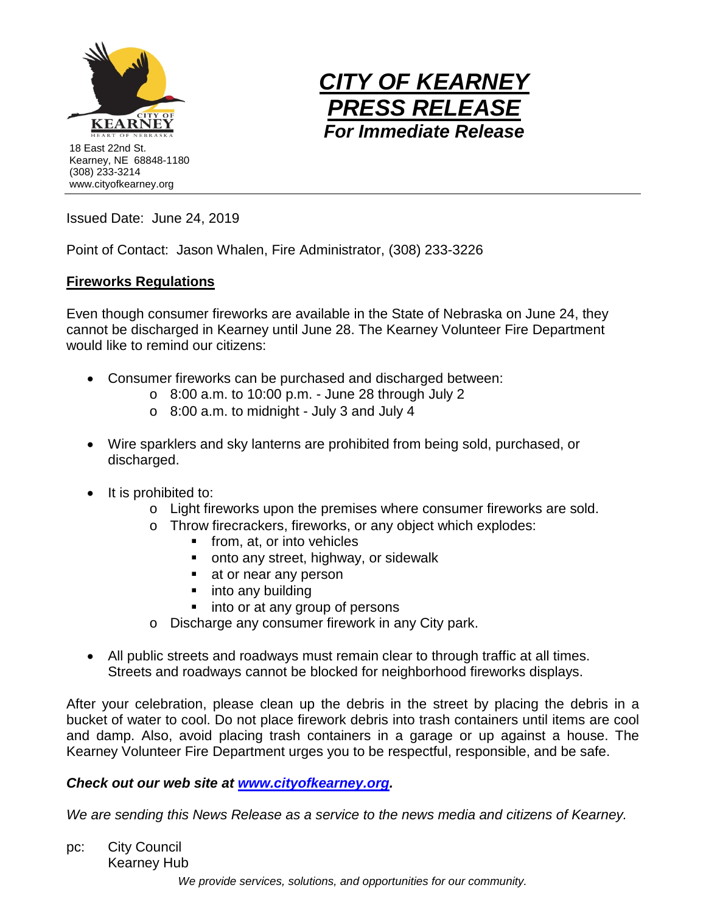



Issued Date: June 24, 2019

Point of Contact: Jason Whalen, Fire Administrator, (308) 233-3226

## **Fireworks Regulations**

Even though consumer fireworks are available in the State of Nebraska on June 24, they cannot be discharged in Kearney until June 28. The Kearney Volunteer Fire Department would like to remind our citizens:

- Consumer fireworks can be purchased and discharged between:
	- $\circ$  8:00 a.m. to 10:00 p.m. June 28 through July 2
	- $\circ$  8:00 a.m. to midnight July 3 and July 4
- Wire sparklers and sky lanterns are prohibited from being sold, purchased, or discharged.
- It is prohibited to:
	- $\circ$  Light fireworks upon the premises where consumer fireworks are sold.
	- o Throw firecrackers, fireworks, or any object which explodes:
		- **from, at, or into vehicles**
		- **•** onto any street, highway, or sidewalk
		- **at or near any person**
		- into any building
		- into or at any group of persons
	- o Discharge any consumer firework in any City park.
- All public streets and roadways must remain clear to through traffic at all times. Streets and roadways cannot be blocked for neighborhood fireworks displays.

After your celebration, please clean up the debris in the street by placing the debris in a bucket of water to cool. Do not place firework debris into trash containers until items are cool and damp. Also, avoid placing trash containers in a garage or up against a house. The Kearney Volunteer Fire Department urges you to be respectful, responsible, and be safe.

## *Check out our web site at [www.cityofkearney.org.](http://www.cityofkearney.org/)*

*We are sending this News Release as a service to the news media and citizens of Kearney.*

pc: City Council Kearney Hub